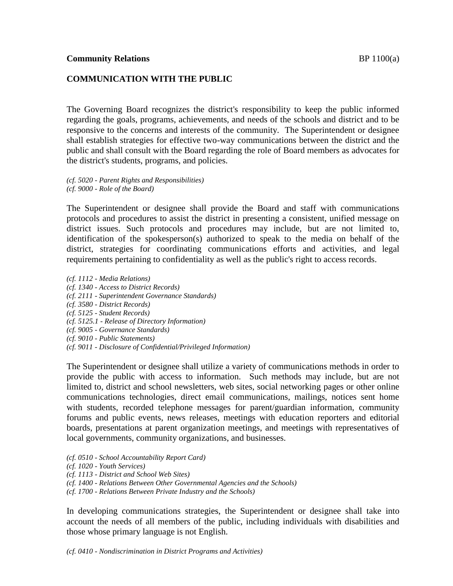# **COMMUNICATION WITH THE PUBLIC**

The Governing Board recognizes the district's responsibility to keep the public informed regarding the goals, programs, achievements, and needs of the schools and district and to be responsive to the concerns and interests of the community. The Superintendent or designee shall establish strategies for effective two-way communications between the district and the public and shall consult with the Board regarding the role of Board members as advocates for the district's students, programs, and policies.

*(cf. 5020 - Parent Rights and Responsibilities) (cf. 9000 - Role of the Board)*

The Superintendent or designee shall provide the Board and staff with communications protocols and procedures to assist the district in presenting a consistent, unified message on district issues. Such protocols and procedures may include, but are not limited to, identification of the spokesperson(s) authorized to speak to the media on behalf of the district, strategies for coordinating communications efforts and activities, and legal requirements pertaining to confidentiality as well as the public's right to access records.

*(cf. 1112 - Media Relations) (cf. 1340 - Access to District Records) (cf. 2111 - Superintendent Governance Standards) (cf. 3580 - District Records) (cf. 5125 - Student Records) (cf. 5125.1 - Release of Directory Information) (cf. 9005 - Governance Standards) (cf. 9010 - Public Statements) (cf. 9011 - Disclosure of Confidential/Privileged Information)*

The Superintendent or designee shall utilize a variety of communications methods in order to provide the public with access to information. Such methods may include, but are not limited to, district and school newsletters, web sites, social networking pages or other online communications technologies, direct email communications, mailings, notices sent home with students, recorded telephone messages for parent/guardian information, community forums and public events, news releases, meetings with education reporters and editorial boards, presentations at parent organization meetings, and meetings with representatives of local governments, community organizations, and businesses.

- *(cf. 0510 - School Accountability Report Card)*
- *(cf. 1020 - Youth Services)*
- *(cf. 1113 - District and School Web Sites)*
- *(cf. 1400 - Relations Between Other Governmental Agencies and the Schools)*
- *(cf. 1700 - Relations Between Private Industry and the Schools)*

In developing communications strategies, the Superintendent or designee shall take into account the needs of all members of the public, including individuals with disabilities and those whose primary language is not English.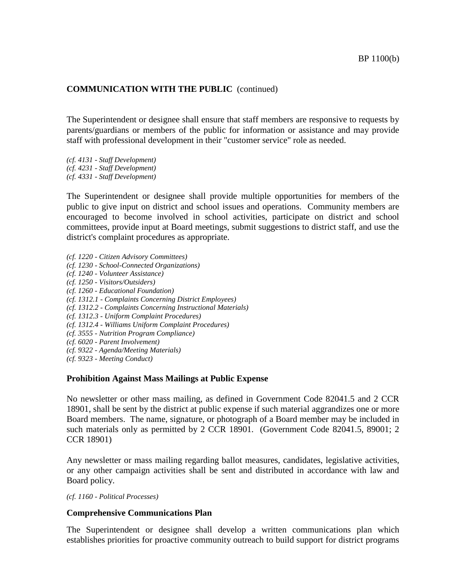## **COMMUNICATION WITH THE PUBLIC** (continued)

The Superintendent or designee shall ensure that staff members are responsive to requests by parents/guardians or members of the public for information or assistance and may provide staff with professional development in their "customer service" role as needed.

*(cf. 4131 - Staff Development) (cf. 4231 - Staff Development)*

*(cf. 4331 - Staff Development)*

The Superintendent or designee shall provide multiple opportunities for members of the public to give input on district and school issues and operations. Community members are encouraged to become involved in school activities, participate on district and school committees, provide input at Board meetings, submit suggestions to district staff, and use the district's complaint procedures as appropriate.

- *(cf. 1220 - Citizen Advisory Committees)*
- *(cf. 1230 - School-Connected Organizations)*
- *(cf. 1240 - Volunteer Assistance)*
- *(cf. 1250 - Visitors/Outsiders)*
- *(cf. 1260 - Educational Foundation)*
- *(cf. 1312.1 - Complaints Concerning District Employees)*
- *(cf. 1312.2 - Complaints Concerning Instructional Materials)*
- *(cf. 1312.3 - Uniform Complaint Procedures)*
- *(cf. 1312.4 - Williams Uniform Complaint Procedures)*
- *(cf. 3555 - Nutrition Program Compliance)*
- *(cf. 6020 - Parent Involvement)*
- *(cf. 9322 - Agenda/Meeting Materials)*
- *(cf. 9323 - Meeting Conduct)*

### **Prohibition Against Mass Mailings at Public Expense**

No newsletter or other mass mailing, as defined in Government Code 82041.5 and 2 CCR 18901, shall be sent by the district at public expense if such material aggrandizes one or more Board members. The name, signature, or photograph of a Board member may be included in such materials only as permitted by 2 CCR 18901. (Government Code 82041.5, 89001; 2 CCR 18901)

Any newsletter or mass mailing regarding ballot measures, candidates, legislative activities, or any other campaign activities shall be sent and distributed in accordance with law and Board policy.

*(cf. 1160 - Political Processes)*

### **Comprehensive Communications Plan**

The Superintendent or designee shall develop a written communications plan which establishes priorities for proactive community outreach to build support for district programs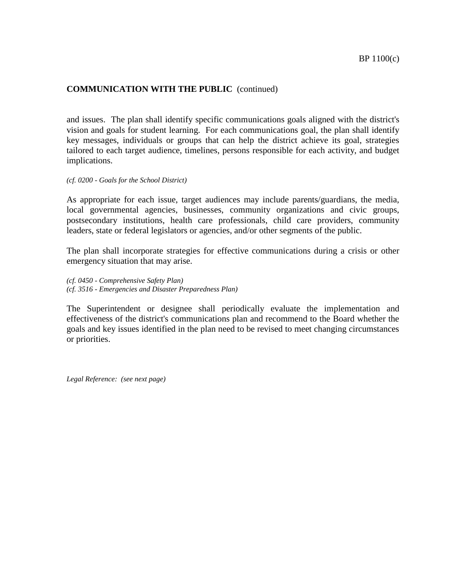# **COMMUNICATION WITH THE PUBLIC** (continued)

and issues. The plan shall identify specific communications goals aligned with the district's vision and goals for student learning. For each communications goal, the plan shall identify key messages, individuals or groups that can help the district achieve its goal, strategies tailored to each target audience, timelines, persons responsible for each activity, and budget implications.

*(cf. 0200 - Goals for the School District)*

As appropriate for each issue, target audiences may include parents/guardians, the media, local governmental agencies, businesses, community organizations and civic groups, postsecondary institutions, health care professionals, child care providers, community leaders, state or federal legislators or agencies, and/or other segments of the public.

The plan shall incorporate strategies for effective communications during a crisis or other emergency situation that may arise.

*(cf. 0450 - Comprehensive Safety Plan) (cf. 3516 - Emergencies and Disaster Preparedness Plan)*

The Superintendent or designee shall periodically evaluate the implementation and effectiveness of the district's communications plan and recommend to the Board whether the goals and key issues identified in the plan need to be revised to meet changing circumstances or priorities.

*Legal Reference: (see next page)*